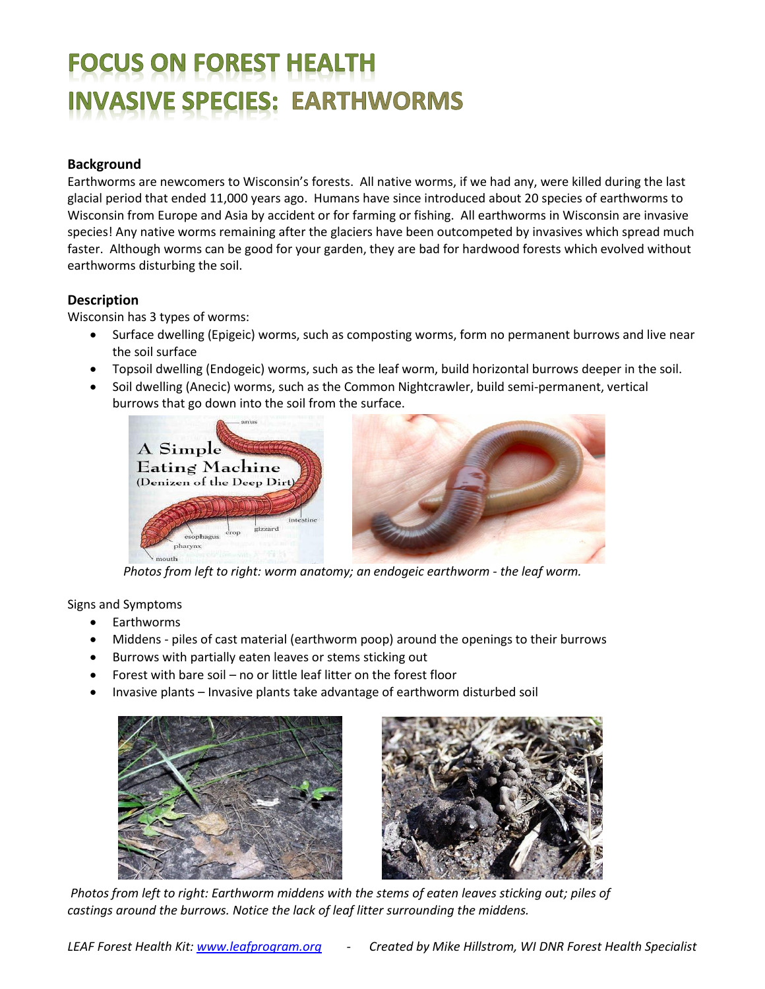# **FOCUS ON FOREST HEALTH /ASIVE SPECIES: EARTHWORMS**

### **Background**

Earthworms are newcomers to Wisconsin's forests. All native worms, if we had any, were killed during the last glacial period that ended 11,000 years ago. Humans have since introduced about 20 species of earthworms to Wisconsin from Europe and Asia by accident or for farming or fishing. All earthworms in Wisconsin are invasive species! Any native worms remaining after the glaciers have been outcompeted by invasives which spread much faster. Although worms can be good for your garden, they are bad for hardwood forests which evolved without earthworms disturbing the soil.

## **Description**

Wisconsin has 3 types of worms:

- Surface dwelling (Epigeic) worms, such as composting worms, form no permanent burrows and live near the soil surface
- Topsoil dwelling (Endogeic) worms, such as the leaf worm, build horizontal burrows deeper in the soil.
- Soil dwelling (Anecic) worms, such as the Common Nightcrawler, build semi-permanent, vertical burrows that go down into the soil from the surface.



 *Photos from left to right: worm anatomy; an endogeic earthworm - the leaf worm.*

Signs and Symptoms

- Earthworms
- Middens piles of cast material (earthworm poop) around the openings to their burrows
- Burrows with partially eaten leaves or stems sticking out
- Forest with bare soil no or little leaf litter on the forest floor
- Invasive plants Invasive plants take advantage of earthworm disturbed soil





*Photos from left to right: Earthworm middens with the stems of eaten leaves sticking out; piles of castings around the burrows. Notice the lack of leaf litter surrounding the middens.*